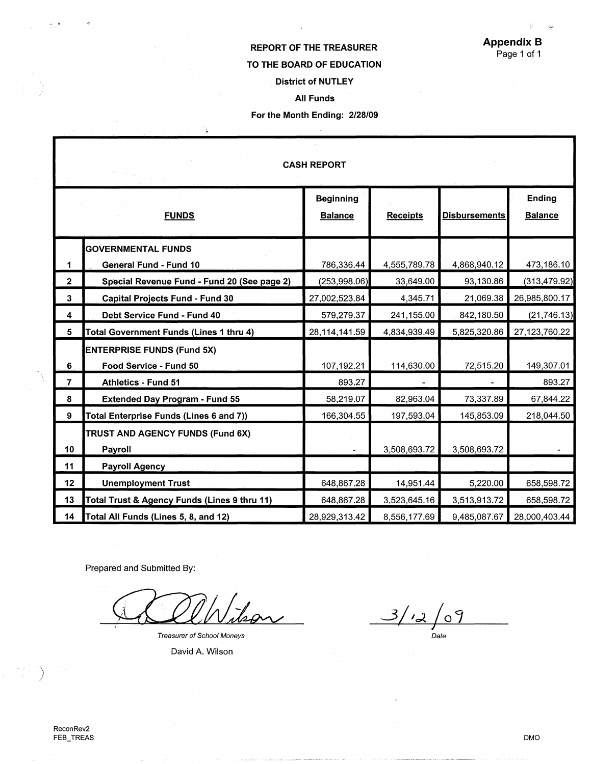Ŷ,  $\frac{1}{2} \frac{1}{2} \frac{1}{2}$ 

## REPORT OF THE TREASURER TO THE BOARD OF EDUCATION District of NUTLEY

## All Funds

## For the Month Ending: 2/28/09

|                                | <b>CASH REPORT</b>                                                                    |                                    |                              |                              |                                 |  |  |
|--------------------------------|---------------------------------------------------------------------------------------|------------------------------------|------------------------------|------------------------------|---------------------------------|--|--|
|                                | <b>FUNDS</b>                                                                          | <b>Beginning</b><br><b>Balance</b> | <b>Receipts</b>              | <b>Disbursements</b>         | <b>Ending</b><br><b>Balance</b> |  |  |
| 1                              | <b>GOVERNMENTAL FUNDS</b><br><b>General Fund - Fund 10</b>                            | 786,336.44                         | 4,555,789.78                 | 4,868,940.12                 | 473,186.10                      |  |  |
| $\overline{2}$<br>$\mathbf{3}$ | Special Revenue Fund - Fund 20 (See page 2)<br><b>Capital Projects Fund - Fund 30</b> | (253,998.06)<br>27,002,523.84      | 33,649.00<br>4,345.71        | 93,130.86<br>21,069.38       | (313, 479.92)<br>26,985,800.17  |  |  |
| $\overline{\mathbf{4}}$<br>5   | <b>Debt Service Fund - Fund 40</b><br>Total Government Funds (Lines 1 thru 4)         | 579,279.37<br>28,114,141.59        | 241,155.00<br>4,834,939.49   | 842,180.50<br>5,825,320.86   | (21, 746.13)<br>27,123,760.22   |  |  |
| 6                              | <b>ENTERPRISE FUNDS (Fund 5X)</b><br>Food Service - Fund 50                           | 107,192.21                         | 114,630.00                   | 72,515.20                    | 149,307.01                      |  |  |
| $\overline{7}$<br>8            | <b>Athletics - Fund 51</b><br><b>Extended Day Program - Fund 55</b>                   | 893.27<br>58,219.07                | 82,963.04                    | 73,337.89                    | 893.27<br>67,844.22             |  |  |
| 9                              | <b>Total Enterprise Funds (Lines 6 and 7))</b><br>TRUST AND AGENCY FUNDS (Fund 6X)    | 166,304.55                         | 197,593.04                   | 145,853.09                   | 218,044.50                      |  |  |
| 10<br>11                       | Payroll<br><b>Payroll Agency</b>                                                      |                                    | 3,508,693.72                 | 3,508,693.72                 |                                 |  |  |
| 12 <sub>2</sub>                | <b>Unemployment Trust</b>                                                             | 648,867.28                         | 14,951.44                    | 5,220.00                     | 658,598.72                      |  |  |
| 13<br>14                       | Total Trust & Agency Funds (Lines 9 thru 11)<br>Total All Funds (Lines 5, 8, and 12)  | 648,867.28<br>28,929,313.42        | 3,523,645.16<br>8,556,177.69 | 3,513,913.72<br>9,485,087.67 | 658,598.72<br>28,000,403.44     |  |  |

Prepared and Submitted By:

l 2

 $\ddot{ }$ 

*Treasurer of School Moneys* 

David A. Wilson

 $3/12/09$ *Date* 

---······· , \_\_

 $\sum_{i=1}^{n}$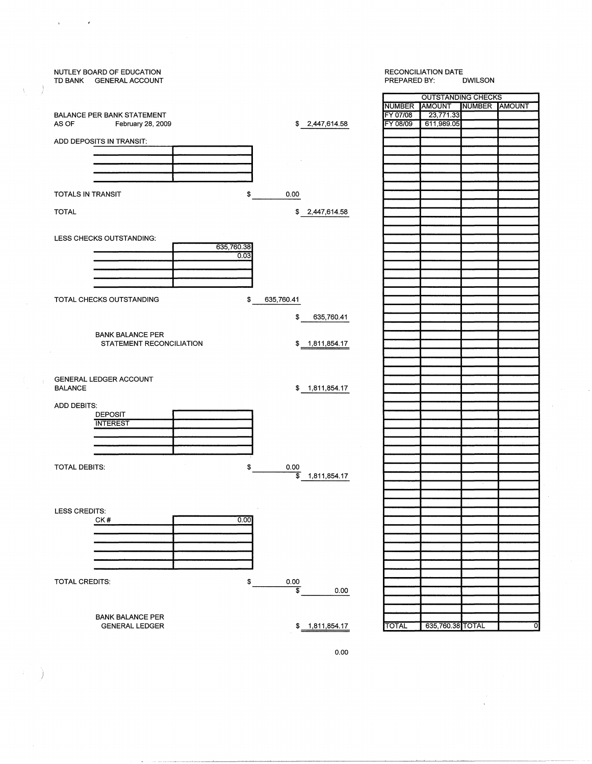

)

þ,

J Ä

 $\mathbf{r}$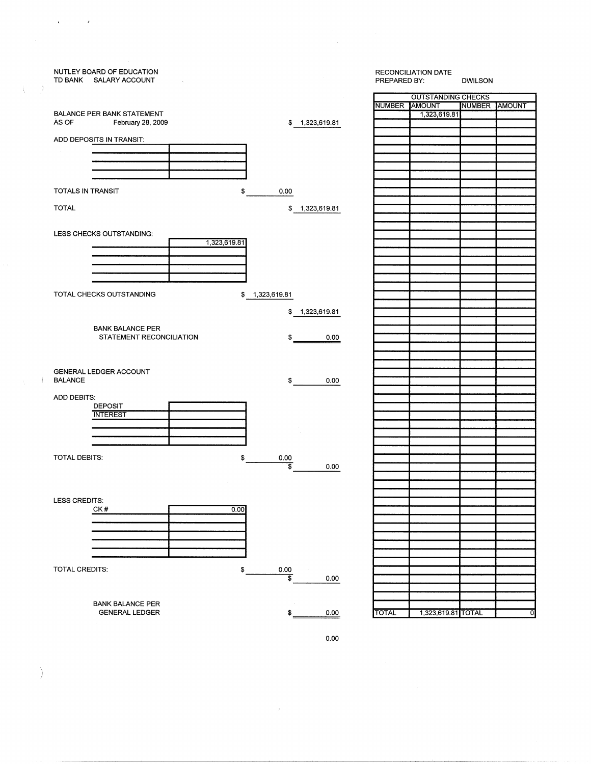|    | NUTLEY BOARD OF EDUCATION<br>TD BANK SALARY ACCOUNT      |              |                                   |                | PREPARED BY:  | RECONCILIATION DATE       | <b>DWILSON</b> |   |
|----|----------------------------------------------------------|--------------|-----------------------------------|----------------|---------------|---------------------------|----------------|---|
|    |                                                          |              |                                   |                |               | <b>OUTSTANDING CHECKS</b> |                |   |
|    |                                                          |              |                                   |                | NUMBER AMOUNT |                           | NUMBER AMOUNT  |   |
|    | BALANCE PER BANK STATEMENT<br>AS OF<br>February 28, 2009 |              |                                   | \$1,323,619.81 |               | 1,323,619.81              |                |   |
|    |                                                          |              |                                   |                |               |                           |                |   |
|    | ADD DEPOSITS IN TRANSIT:                                 |              |                                   |                |               |                           |                |   |
|    |                                                          |              |                                   |                |               |                           |                |   |
|    |                                                          |              |                                   |                |               |                           |                |   |
|    |                                                          |              |                                   |                |               |                           |                |   |
|    |                                                          |              |                                   |                |               |                           |                |   |
|    | TOTALS IN TRANSIT                                        | \$           | 0.00                              |                |               |                           |                |   |
|    |                                                          |              |                                   |                |               |                           |                |   |
|    | <b>TOTAL</b>                                             |              |                                   | \$1,323,619.81 |               |                           |                |   |
|    |                                                          |              |                                   |                |               |                           |                |   |
|    | LESS CHECKS OUTSTANDING:                                 |              |                                   |                |               |                           |                |   |
|    |                                                          | 1,323,619.81 |                                   |                |               |                           |                |   |
|    |                                                          |              |                                   |                |               |                           |                |   |
|    |                                                          |              |                                   |                |               |                           |                |   |
|    |                                                          |              |                                   |                |               |                           |                |   |
|    |                                                          |              |                                   |                |               |                           |                |   |
|    | TOTAL CHECKS OUTSTANDING                                 |              |                                   |                |               |                           |                |   |
|    |                                                          |              | \$1,323,619.81                    |                |               |                           |                |   |
|    |                                                          |              | \$                                | 1,323,619.81   |               |                           |                |   |
|    |                                                          |              |                                   |                |               |                           |                |   |
|    | <b>BANK BALANCE PER</b>                                  |              |                                   |                |               |                           |                |   |
|    | STATEMENT RECONCILIATION                                 |              | \$                                | 0.00           |               |                           |                |   |
|    |                                                          |              |                                   |                |               |                           |                |   |
|    |                                                          |              |                                   |                |               |                           |                |   |
|    | GENERAL LEDGER ACCOUNT                                   |              |                                   |                |               |                           |                |   |
| j. | <b>BALANCE</b>                                           |              | \$                                | 0.00           |               |                           |                |   |
|    |                                                          |              |                                   |                |               |                           |                |   |
|    | ADD DEBITS:                                              |              |                                   |                |               |                           |                |   |
|    | <b>DEPOSIT</b><br><b>INTEREST</b>                        |              |                                   |                |               |                           |                |   |
|    |                                                          |              |                                   |                |               |                           |                |   |
|    |                                                          |              |                                   |                |               |                           |                |   |
|    |                                                          |              |                                   |                |               |                           |                |   |
|    |                                                          |              |                                   |                |               |                           |                |   |
|    | TOTAL DEBITS:                                            | \$           | 0.00<br>$\overline{\mathfrak{s}}$ |                |               |                           |                |   |
|    |                                                          |              |                                   | 0.00           |               |                           |                |   |
|    |                                                          |              |                                   |                |               |                           |                |   |
|    |                                                          |              |                                   |                |               |                           |                |   |
|    | LESS CREDITS:                                            |              |                                   |                |               |                           |                |   |
|    | CK#                                                      | 0.00         |                                   |                |               |                           |                |   |
|    |                                                          |              |                                   |                |               |                           |                |   |
|    |                                                          |              |                                   |                |               |                           |                |   |
|    |                                                          |              |                                   |                |               |                           |                |   |
|    |                                                          |              |                                   |                |               |                           |                |   |
|    |                                                          |              |                                   |                |               |                           |                |   |
|    | TOTAL CREDITS:                                           | \$           | 0.00                              |                |               |                           |                |   |
|    |                                                          |              | $\overline{\mathfrak{s}}$         | 0.00           |               |                           |                |   |
|    |                                                          |              |                                   |                |               |                           |                |   |
|    | <b>BANK BALANCE PER</b>                                  |              |                                   |                |               |                           |                |   |
|    | <b>GENERAL LEDGER</b>                                    |              | \$                                | 0.00           | <b>TOTAL</b>  | 1,323,619.81 TOTAL        |                | 0 |
|    |                                                          |              |                                   |                |               |                           |                |   |
|    |                                                          |              |                                   | 0.00           |               |                           |                |   |

 $\mathbf{v}$  $\sim 10^6$ 

 $\left\langle \right\rangle$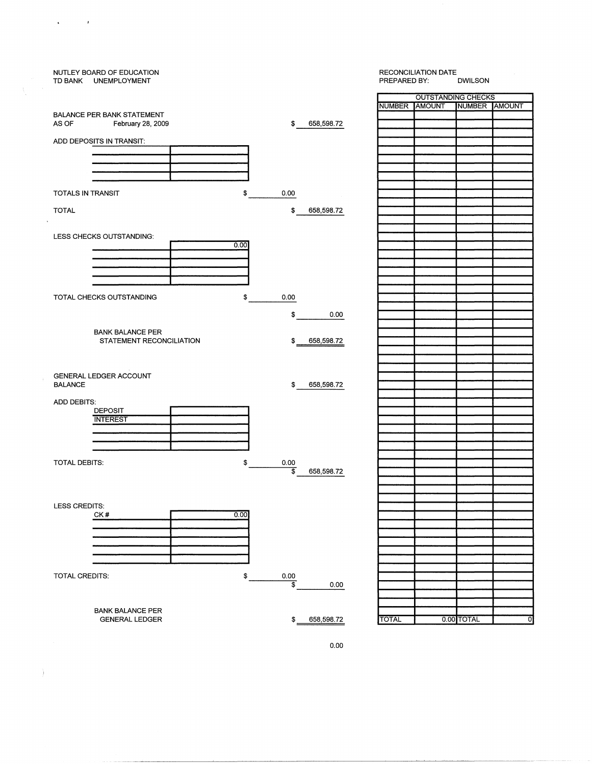| NUTLEY BOARD OF EDUCATION<br>TD BANK UNEMPLOYMENT |                                       |               | RECONCILIATION DATE<br>PREPARED BY:<br><b>DWILSON</b> |               |  |
|---------------------------------------------------|---------------------------------------|---------------|-------------------------------------------------------|---------------|--|
|                                                   |                                       |               | <b>OUTSTANDING CHECKS</b>                             |               |  |
|                                                   |                                       | NUMBER AMOUNT |                                                       | NUMBER AMOUNT |  |
| <b>BALANCE PER BANK STATEMENT</b>                 |                                       |               |                                                       |               |  |
| AS OF<br>February 28, 2009                        | \$<br>658,598.72                      |               |                                                       |               |  |
|                                                   |                                       |               |                                                       |               |  |
| ADD DEPOSITS IN TRANSIT:                          |                                       |               |                                                       |               |  |
|                                                   |                                       |               |                                                       |               |  |
|                                                   |                                       |               |                                                       |               |  |
|                                                   |                                       |               |                                                       |               |  |
|                                                   |                                       |               |                                                       |               |  |
|                                                   |                                       |               |                                                       |               |  |
| <b>TOTALS IN TRANSIT</b>                          | \$<br>0.00                            |               |                                                       |               |  |
|                                                   |                                       |               |                                                       |               |  |
| <b>TOTAL</b>                                      | \$<br>658,598.72                      |               |                                                       |               |  |
|                                                   |                                       |               |                                                       |               |  |
|                                                   |                                       |               |                                                       |               |  |
| LESS CHECKS OUTSTANDING:                          |                                       |               |                                                       |               |  |
|                                                   | 0.00                                  |               |                                                       |               |  |
|                                                   |                                       |               |                                                       |               |  |
|                                                   |                                       |               |                                                       |               |  |
|                                                   |                                       |               |                                                       |               |  |
|                                                   |                                       |               |                                                       |               |  |
|                                                   |                                       |               |                                                       |               |  |
| TOTAL CHECKS OUTSTANDING                          | \$<br>0.00                            |               |                                                       |               |  |
|                                                   |                                       |               |                                                       |               |  |
|                                                   | \$<br>0.00                            |               |                                                       |               |  |
|                                                   |                                       |               |                                                       |               |  |
| <b>BANK BALANCE PER</b>                           |                                       |               |                                                       |               |  |
| STATEMENT RECONCILIATION                          | 658,598.72<br>\$                      |               |                                                       |               |  |
|                                                   |                                       |               |                                                       |               |  |
|                                                   |                                       |               |                                                       |               |  |
|                                                   |                                       |               |                                                       |               |  |
| GENERAL LEDGER ACCOUNT                            |                                       |               |                                                       |               |  |
| <b>BALANCE</b>                                    | \$<br>658,598.72                      |               |                                                       |               |  |
|                                                   |                                       |               |                                                       |               |  |
| ADD DEBITS:                                       |                                       |               |                                                       |               |  |
| <b>DEPOSIT</b>                                    |                                       |               |                                                       |               |  |
| <b>INTEREST</b>                                   |                                       |               |                                                       |               |  |
|                                                   |                                       |               |                                                       |               |  |
|                                                   |                                       |               |                                                       |               |  |
|                                                   |                                       |               |                                                       |               |  |
|                                                   |                                       |               |                                                       |               |  |
| TOTAL DEBITS:                                     | \$<br>0.00                            |               |                                                       |               |  |
|                                                   | $\overline{\mathbf{s}}$<br>658,598.72 |               |                                                       |               |  |
|                                                   |                                       |               |                                                       |               |  |
|                                                   |                                       |               |                                                       |               |  |
|                                                   |                                       |               |                                                       |               |  |
| LESS CREDITS:                                     |                                       |               |                                                       |               |  |
| CK#                                               | 0.00                                  |               |                                                       |               |  |
|                                                   |                                       |               |                                                       |               |  |
|                                                   |                                       |               |                                                       |               |  |
|                                                   |                                       |               |                                                       |               |  |
|                                                   |                                       |               |                                                       |               |  |
|                                                   |                                       |               |                                                       |               |  |
|                                                   |                                       |               |                                                       |               |  |
|                                                   |                                       |               |                                                       |               |  |
| TOTAL CREDITS:                                    | \$<br>0.00                            |               |                                                       |               |  |
|                                                   | \$<br>0.00                            |               |                                                       |               |  |
|                                                   |                                       |               |                                                       |               |  |
|                                                   |                                       |               |                                                       |               |  |
| <b>BANK BALANCE PER</b>                           | 658,598.72                            | <b>TOTAL</b>  | 0.00 TOTAL                                            |               |  |
| <b>GENERAL LEDGER</b>                             | \$                                    |               |                                                       |               |  |

 $\sqrt{1-\beta}$  and  $\alpha$ 

 $\label{eq:1} \sum_{i=1}^n \frac{1}{2} \sum_{j=1}^n \frac{1}{2} \sum_{j=1}^n \frac{1}{2} \sum_{j=1}^n \frac{1}{2} \sum_{j=1}^n \frac{1}{2} \sum_{j=1}^n \frac{1}{2} \sum_{j=1}^n \frac{1}{2} \sum_{j=1}^n \frac{1}{2} \sum_{j=1}^n \frac{1}{2} \sum_{j=1}^n \frac{1}{2} \sum_{j=1}^n \frac{1}{2} \sum_{j=1}^n \frac{1}{2} \sum_{j=1}^n \frac{1}{2} \sum_{j=$ 

0.00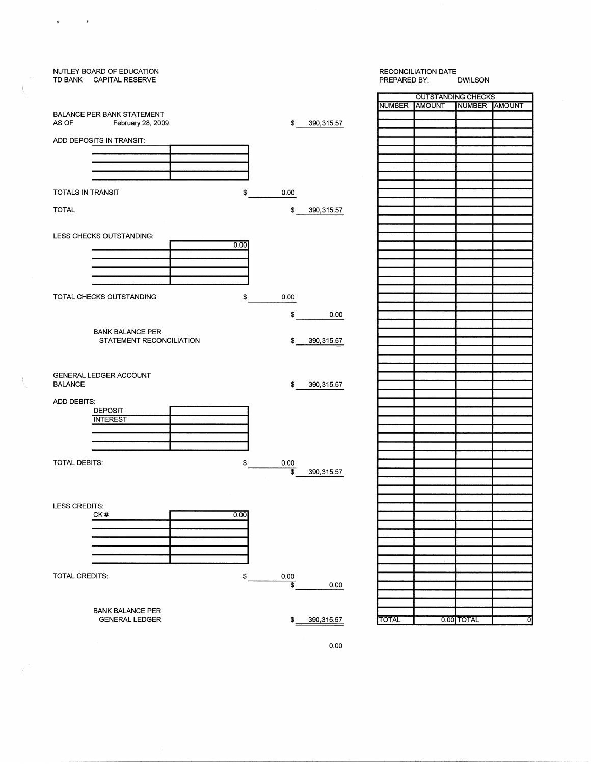| NUTLEY BOARD OF EDUCATION<br>TD BANK CAPITAL RESERVE |                                   | <b>RECONCILIATION DATE</b><br>PREPARED BY:<br><b>DWILSON</b> |                              |  |
|------------------------------------------------------|-----------------------------------|--------------------------------------------------------------|------------------------------|--|
|                                                      |                                   |                                                              | <b>OUTSTANDING CHECKS</b>    |  |
|                                                      |                                   | <b>NUMBER</b><br><b>AMOUNT</b>                               | NUMBER AMOUNT                |  |
| <b>BALANCE PER BANK STATEMENT</b>                    |                                   |                                                              |                              |  |
| AS OF<br>February 28, 2009                           | $\frac{1}{2}$<br>390,315.57       |                                                              |                              |  |
|                                                      |                                   |                                                              |                              |  |
| ADD DEPOSITS IN TRANSIT:                             |                                   |                                                              |                              |  |
|                                                      |                                   |                                                              |                              |  |
|                                                      |                                   |                                                              |                              |  |
|                                                      |                                   |                                                              |                              |  |
|                                                      |                                   |                                                              |                              |  |
|                                                      |                                   |                                                              |                              |  |
| TOTALS IN TRANSIT<br>\$                              | 0.00                              |                                                              |                              |  |
|                                                      |                                   |                                                              |                              |  |
| <b>TOTAL</b>                                         | \$<br>390,315.57                  |                                                              |                              |  |
|                                                      |                                   |                                                              |                              |  |
|                                                      |                                   |                                                              |                              |  |
| LESS CHECKS OUTSTANDING:                             |                                   |                                                              |                              |  |
| 0.00                                                 |                                   |                                                              |                              |  |
|                                                      |                                   |                                                              |                              |  |
|                                                      |                                   |                                                              |                              |  |
|                                                      |                                   |                                                              |                              |  |
|                                                      |                                   |                                                              |                              |  |
|                                                      |                                   |                                                              |                              |  |
| TOTAL CHECKS OUTSTANDING<br>\$                       | 0.00                              |                                                              |                              |  |
|                                                      |                                   |                                                              |                              |  |
|                                                      | \$<br>0.00                        |                                                              |                              |  |
|                                                      |                                   |                                                              |                              |  |
| <b>BANK BALANCE PER</b>                              |                                   |                                                              |                              |  |
| STATEMENT RECONCILIATION                             | \$<br>390,315.57                  |                                                              |                              |  |
|                                                      |                                   |                                                              |                              |  |
|                                                      |                                   |                                                              |                              |  |
|                                                      |                                   |                                                              |                              |  |
| GENERAL LEDGER ACCOUNT                               |                                   |                                                              |                              |  |
| <b>BALANCE</b>                                       | \$<br>390,315.57                  |                                                              |                              |  |
|                                                      |                                   |                                                              |                              |  |
| ADD DEBITS:                                          |                                   |                                                              |                              |  |
| <b>DEPOSIT</b>                                       |                                   |                                                              |                              |  |
| <b>INTEREST</b>                                      |                                   |                                                              |                              |  |
|                                                      |                                   |                                                              |                              |  |
|                                                      |                                   |                                                              |                              |  |
|                                                      |                                   |                                                              |                              |  |
|                                                      |                                   |                                                              |                              |  |
| <b>TOTAL DEBITS:</b><br>\$                           | 0.00                              |                                                              |                              |  |
|                                                      | \$<br>390,315.57                  |                                                              |                              |  |
|                                                      |                                   |                                                              |                              |  |
|                                                      |                                   |                                                              |                              |  |
|                                                      |                                   |                                                              |                              |  |
| LESS CREDITS:                                        |                                   |                                                              |                              |  |
| CK#<br>0.00                                          |                                   |                                                              |                              |  |
|                                                      |                                   |                                                              |                              |  |
|                                                      |                                   |                                                              |                              |  |
|                                                      |                                   |                                                              |                              |  |
|                                                      |                                   |                                                              |                              |  |
|                                                      |                                   |                                                              |                              |  |
|                                                      |                                   |                                                              |                              |  |
|                                                      |                                   |                                                              |                              |  |
| TOTAL CREDITS:<br>\$                                 | 0.00<br>$\overline{\mathfrak{s}}$ |                                                              |                              |  |
|                                                      | 0.00                              |                                                              |                              |  |
|                                                      |                                   |                                                              |                              |  |
|                                                      |                                   |                                                              |                              |  |
| <b>BANK BALANCE PER</b>                              |                                   |                                                              |                              |  |
| <b>GENERAL LEDGER</b>                                | \$<br>390,315.57                  | <b>TOTAL</b>                                                 | 0.00 TOTAL<br>$\overline{0}$ |  |
|                                                      |                                   |                                                              |                              |  |

0.00

 $\bar{\rm c}$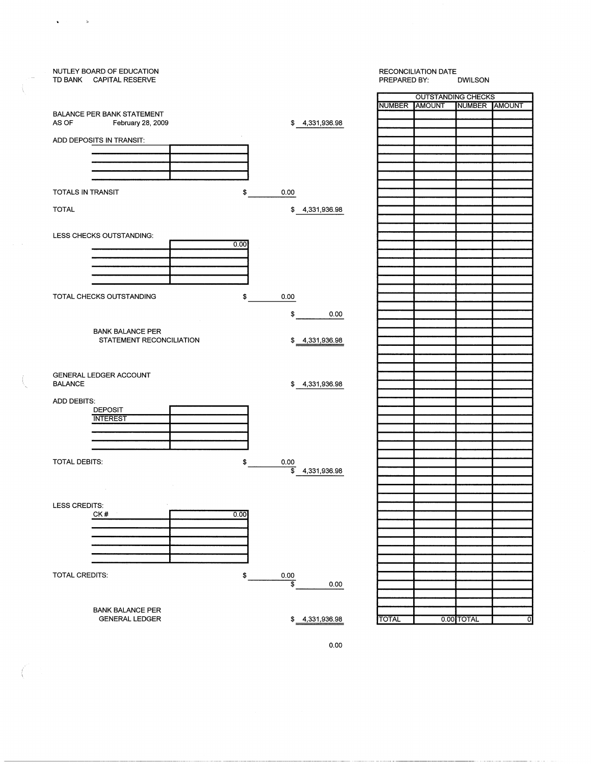| OUTSTANDING CHECKS<br>NUMBER AMOUNT<br>NUMBER AMOUNT<br><b>BALANCE PER BANK STATEMENT</b><br>AS OF<br>\$4,331,936.98<br>February 28, 2009<br>ADD DEPOSITS IN TRANSIT:<br><b>TOTALS IN TRANSIT</b><br>\$<br>0.00<br><b>TOTAL</b><br>\$4,331,936.98<br>LESS CHECKS OUTSTANDING:<br>0.00<br>TOTAL CHECKS OUTSTANDING<br>\$<br>0.00<br>\$<br>0.00<br><b>BANK BALANCE PER</b><br>STATEMENT RECONCILIATION<br>\$4,331,936.98<br>GENERAL LEDGER ACCOUNT<br><b>BALANCE</b><br>\$4,331,936.98<br>ADD DEBITS:<br><b>DEPOSIT</b><br><b>INTEREST</b><br>TOTAL DEBITS:<br>\$<br>0.00<br>\$<br>4,331,936.98<br>$\sim$<br>LESS CREDITS:<br>CK#<br>0.00<br>TOTAL CREDITS:<br>0.00<br>\$<br>$\overline{\mathbf{s}}$<br>0.00<br><b>BANK BALANCE PER</b><br>0.00 TOTAL<br><b>GENERAL LEDGER</b><br>\$ 4,331,936.98<br><b>TOTAL</b><br>$\overline{O}$ | NUTLEY BOARD OF EDUCATION<br>TD BANK CAPITAL RESERVE | <b>RECONCILIATION DATE</b><br>PREPARED BY:<br><b>DWILSON</b> |
|-----------------------------------------------------------------------------------------------------------------------------------------------------------------------------------------------------------------------------------------------------------------------------------------------------------------------------------------------------------------------------------------------------------------------------------------------------------------------------------------------------------------------------------------------------------------------------------------------------------------------------------------------------------------------------------------------------------------------------------------------------------------------------------------------------------------------------------|------------------------------------------------------|--------------------------------------------------------------|
|                                                                                                                                                                                                                                                                                                                                                                                                                                                                                                                                                                                                                                                                                                                                                                                                                                   |                                                      |                                                              |
|                                                                                                                                                                                                                                                                                                                                                                                                                                                                                                                                                                                                                                                                                                                                                                                                                                   |                                                      |                                                              |
|                                                                                                                                                                                                                                                                                                                                                                                                                                                                                                                                                                                                                                                                                                                                                                                                                                   |                                                      |                                                              |
|                                                                                                                                                                                                                                                                                                                                                                                                                                                                                                                                                                                                                                                                                                                                                                                                                                   |                                                      |                                                              |
|                                                                                                                                                                                                                                                                                                                                                                                                                                                                                                                                                                                                                                                                                                                                                                                                                                   |                                                      |                                                              |
|                                                                                                                                                                                                                                                                                                                                                                                                                                                                                                                                                                                                                                                                                                                                                                                                                                   |                                                      |                                                              |
|                                                                                                                                                                                                                                                                                                                                                                                                                                                                                                                                                                                                                                                                                                                                                                                                                                   |                                                      |                                                              |
|                                                                                                                                                                                                                                                                                                                                                                                                                                                                                                                                                                                                                                                                                                                                                                                                                                   |                                                      |                                                              |
|                                                                                                                                                                                                                                                                                                                                                                                                                                                                                                                                                                                                                                                                                                                                                                                                                                   |                                                      |                                                              |
|                                                                                                                                                                                                                                                                                                                                                                                                                                                                                                                                                                                                                                                                                                                                                                                                                                   |                                                      |                                                              |
|                                                                                                                                                                                                                                                                                                                                                                                                                                                                                                                                                                                                                                                                                                                                                                                                                                   |                                                      |                                                              |
|                                                                                                                                                                                                                                                                                                                                                                                                                                                                                                                                                                                                                                                                                                                                                                                                                                   |                                                      |                                                              |
|                                                                                                                                                                                                                                                                                                                                                                                                                                                                                                                                                                                                                                                                                                                                                                                                                                   |                                                      |                                                              |
|                                                                                                                                                                                                                                                                                                                                                                                                                                                                                                                                                                                                                                                                                                                                                                                                                                   |                                                      |                                                              |
|                                                                                                                                                                                                                                                                                                                                                                                                                                                                                                                                                                                                                                                                                                                                                                                                                                   |                                                      |                                                              |
|                                                                                                                                                                                                                                                                                                                                                                                                                                                                                                                                                                                                                                                                                                                                                                                                                                   |                                                      |                                                              |
|                                                                                                                                                                                                                                                                                                                                                                                                                                                                                                                                                                                                                                                                                                                                                                                                                                   |                                                      |                                                              |
|                                                                                                                                                                                                                                                                                                                                                                                                                                                                                                                                                                                                                                                                                                                                                                                                                                   |                                                      |                                                              |
|                                                                                                                                                                                                                                                                                                                                                                                                                                                                                                                                                                                                                                                                                                                                                                                                                                   |                                                      |                                                              |
|                                                                                                                                                                                                                                                                                                                                                                                                                                                                                                                                                                                                                                                                                                                                                                                                                                   |                                                      |                                                              |
|                                                                                                                                                                                                                                                                                                                                                                                                                                                                                                                                                                                                                                                                                                                                                                                                                                   |                                                      |                                                              |
|                                                                                                                                                                                                                                                                                                                                                                                                                                                                                                                                                                                                                                                                                                                                                                                                                                   |                                                      |                                                              |
|                                                                                                                                                                                                                                                                                                                                                                                                                                                                                                                                                                                                                                                                                                                                                                                                                                   |                                                      |                                                              |
|                                                                                                                                                                                                                                                                                                                                                                                                                                                                                                                                                                                                                                                                                                                                                                                                                                   |                                                      |                                                              |
|                                                                                                                                                                                                                                                                                                                                                                                                                                                                                                                                                                                                                                                                                                                                                                                                                                   |                                                      |                                                              |
|                                                                                                                                                                                                                                                                                                                                                                                                                                                                                                                                                                                                                                                                                                                                                                                                                                   |                                                      |                                                              |
|                                                                                                                                                                                                                                                                                                                                                                                                                                                                                                                                                                                                                                                                                                                                                                                                                                   |                                                      |                                                              |
|                                                                                                                                                                                                                                                                                                                                                                                                                                                                                                                                                                                                                                                                                                                                                                                                                                   |                                                      |                                                              |
|                                                                                                                                                                                                                                                                                                                                                                                                                                                                                                                                                                                                                                                                                                                                                                                                                                   |                                                      |                                                              |
|                                                                                                                                                                                                                                                                                                                                                                                                                                                                                                                                                                                                                                                                                                                                                                                                                                   |                                                      |                                                              |
|                                                                                                                                                                                                                                                                                                                                                                                                                                                                                                                                                                                                                                                                                                                                                                                                                                   |                                                      |                                                              |
|                                                                                                                                                                                                                                                                                                                                                                                                                                                                                                                                                                                                                                                                                                                                                                                                                                   |                                                      |                                                              |
|                                                                                                                                                                                                                                                                                                                                                                                                                                                                                                                                                                                                                                                                                                                                                                                                                                   |                                                      |                                                              |
|                                                                                                                                                                                                                                                                                                                                                                                                                                                                                                                                                                                                                                                                                                                                                                                                                                   |                                                      |                                                              |
|                                                                                                                                                                                                                                                                                                                                                                                                                                                                                                                                                                                                                                                                                                                                                                                                                                   |                                                      |                                                              |
|                                                                                                                                                                                                                                                                                                                                                                                                                                                                                                                                                                                                                                                                                                                                                                                                                                   |                                                      |                                                              |
|                                                                                                                                                                                                                                                                                                                                                                                                                                                                                                                                                                                                                                                                                                                                                                                                                                   |                                                      |                                                              |
|                                                                                                                                                                                                                                                                                                                                                                                                                                                                                                                                                                                                                                                                                                                                                                                                                                   |                                                      |                                                              |
|                                                                                                                                                                                                                                                                                                                                                                                                                                                                                                                                                                                                                                                                                                                                                                                                                                   |                                                      |                                                              |
|                                                                                                                                                                                                                                                                                                                                                                                                                                                                                                                                                                                                                                                                                                                                                                                                                                   |                                                      |                                                              |
|                                                                                                                                                                                                                                                                                                                                                                                                                                                                                                                                                                                                                                                                                                                                                                                                                                   |                                                      |                                                              |
|                                                                                                                                                                                                                                                                                                                                                                                                                                                                                                                                                                                                                                                                                                                                                                                                                                   |                                                      |                                                              |
|                                                                                                                                                                                                                                                                                                                                                                                                                                                                                                                                                                                                                                                                                                                                                                                                                                   |                                                      |                                                              |
|                                                                                                                                                                                                                                                                                                                                                                                                                                                                                                                                                                                                                                                                                                                                                                                                                                   |                                                      |                                                              |
|                                                                                                                                                                                                                                                                                                                                                                                                                                                                                                                                                                                                                                                                                                                                                                                                                                   |                                                      |                                                              |
|                                                                                                                                                                                                                                                                                                                                                                                                                                                                                                                                                                                                                                                                                                                                                                                                                                   |                                                      |                                                              |
|                                                                                                                                                                                                                                                                                                                                                                                                                                                                                                                                                                                                                                                                                                                                                                                                                                   |                                                      |                                                              |
|                                                                                                                                                                                                                                                                                                                                                                                                                                                                                                                                                                                                                                                                                                                                                                                                                                   |                                                      |                                                              |
|                                                                                                                                                                                                                                                                                                                                                                                                                                                                                                                                                                                                                                                                                                                                                                                                                                   |                                                      |                                                              |
|                                                                                                                                                                                                                                                                                                                                                                                                                                                                                                                                                                                                                                                                                                                                                                                                                                   |                                                      |                                                              |
|                                                                                                                                                                                                                                                                                                                                                                                                                                                                                                                                                                                                                                                                                                                                                                                                                                   |                                                      |                                                              |
|                                                                                                                                                                                                                                                                                                                                                                                                                                                                                                                                                                                                                                                                                                                                                                                                                                   |                                                      |                                                              |
|                                                                                                                                                                                                                                                                                                                                                                                                                                                                                                                                                                                                                                                                                                                                                                                                                                   |                                                      |                                                              |
|                                                                                                                                                                                                                                                                                                                                                                                                                                                                                                                                                                                                                                                                                                                                                                                                                                   |                                                      |                                                              |
|                                                                                                                                                                                                                                                                                                                                                                                                                                                                                                                                                                                                                                                                                                                                                                                                                                   |                                                      |                                                              |
|                                                                                                                                                                                                                                                                                                                                                                                                                                                                                                                                                                                                                                                                                                                                                                                                                                   |                                                      |                                                              |
|                                                                                                                                                                                                                                                                                                                                                                                                                                                                                                                                                                                                                                                                                                                                                                                                                                   |                                                      |                                                              |
|                                                                                                                                                                                                                                                                                                                                                                                                                                                                                                                                                                                                                                                                                                                                                                                                                                   |                                                      |                                                              |
|                                                                                                                                                                                                                                                                                                                                                                                                                                                                                                                                                                                                                                                                                                                                                                                                                                   |                                                      |                                                              |

0.00

( \

 $\mathbf{S}$ 

 $\ddot{\phantom{a}}$ 

, L